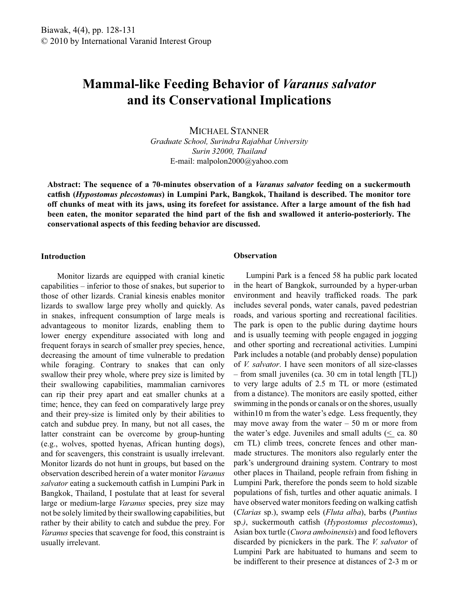# **Mammal-like Feeding Behavior of** *Varanus salvator*  **and its Conservational Implications**

MICHAEL STANNER

*Graduate School, Surindra Rajabhat University Surin 32000, Thailand* E-mail: malpolon2000@yahoo.com

**Abstract: The sequence of a 70-minutes observation of a** *Varanus salvator* **feeding on a suckermouth catfish (***Hypostomus plecostomus***) in Lumpini Park, Bangkok, Thailand is described. The monitor tore off chunks of meat with its jaws, using its forefeet for assistance. After a large amount of the fish had been eaten, the monitor separated the hind part of the fish and swallowed it anterio-posteriorly. The conservational aspects of this feeding behavior are discussed.** 

## **Introduction**

 Monitor lizards are equipped with cranial kinetic capabilities – inferior to those of snakes, but superior to those of other lizards. Cranial kinesis enables monitor lizards to swallow large prey wholly and quickly. As in snakes, infrequent consumption of large meals is advantageous to monitor lizards, enabling them to lower energy expenditure associated with long and frequent forays in search of smaller prey species, hence, decreasing the amount of time vulnerable to predation while foraging. Contrary to snakes that can only swallow their prey whole, where prey size is limited by their swallowing capabilities, mammalian carnivores can rip their prey apart and eat smaller chunks at a time; hence, they can feed on comparatively large prey and their prey-size is limited only by their abilities to catch and subdue prey. In many, but not all cases, the latter constraint can be overcome by group-hunting (e.g., wolves, spotted hyenas, African hunting dogs), and for scavengers, this constraint is usually irrelevant. Monitor lizards do not hunt in groups, but based on the observation described herein of a water monitor *Varanus salvator* eating a suckemouth catfish in Lumpini Park in Bangkok, Thailand, I postulate that at least for several large or medium-large *Varanus* species, prey size may not be solely limited by their swallowing capabilities, but rather by their ability to catch and subdue the prey. For *Varanus* species that scavenge for food, this constraint is usually irrelevant.

# **Observation**

 Lumpini Park is a fenced 58 ha public park located in the heart of Bangkok, surrounded by a hyper-urban environment and heavily trafficked roads. The park includes several ponds, water canals, paved pedestrian roads, and various sporting and recreational facilities. The park is open to the public during daytime hours and is usually teeming with people engaged in jogging and other sporting and recreational activities. Lumpini Park includes a notable (and probably dense) population of *V. salvator*. I have seen monitors of all size-classes – from small juveniles (ca. 30 cm in total length [TL]) to very large adults of 2.5 m TL or more (estimated from a distance). The monitors are easily spotted, either swimming in the ponds or canals or on the shores, usually within10 m from the water's edge. Less frequently, they may move away from the water  $-50$  m or more from the water's edge. Juveniles and small adults ( $\leq$  ca. 80 cm TL) climb trees, concrete fences and other manmade structures. The monitors also regularly enter the park's underground draining system. Contrary to most other places in Thailand, people refrain from fishing in Lumpini Park, therefore the ponds seem to hold sizable populations of fish, turtles and other aquatic animals. I have observed water monitors feeding on walking catfish (*Clarias* sp.), swamp eels (*Fluta alba*), barbs (*Puntius*  sp.*)*, suckermouth catfish (*Hypostomus plecostomus*), Asian box turtle (*Cuora amboinensis*) and food leftovers discarded by picnickers in the park. The *V. salvator* of Lumpini Park are habituated to humans and seem to be indifferent to their presence at distances of 2-3 m or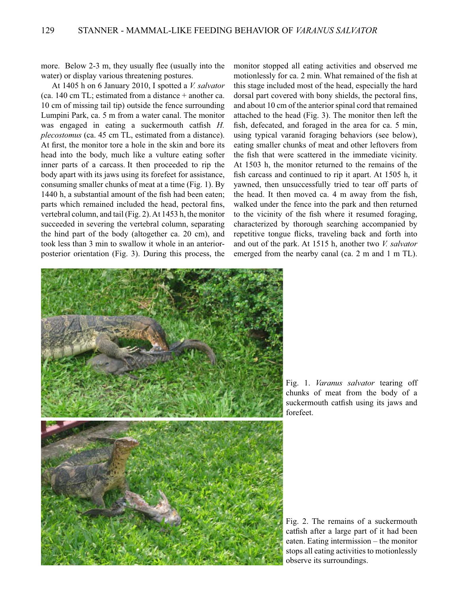more. Below 2-3 m, they usually flee (usually into the water) or display various threatening postures.

 At 1405 h on 6 January 2010, I spotted a *V. salvator*  (ca. 140 cm TL; estimated from a distance + another ca. 10 cm of missing tail tip) outside the fence surrounding Lumpini Park, ca. 5 m from a water canal. The monitor was engaged in eating a suckermouth catfish *H. plecostomus* (ca. 45 cm TL, estimated from a distance). At first, the monitor tore a hole in the skin and bore its head into the body, much like a vulture eating softer inner parts of a carcass. It then proceeded to rip the body apart with its jaws using its forefeet for assistance, consuming smaller chunks of meat at a time (Fig. 1). By 1440 h, a substantial amount of the fish had been eaten; parts which remained included the head, pectoral fins, vertebral column, and tail (Fig. 2). At 1453 h, the monitor succeeded in severing the vertebral column, separating the hind part of the body (altogether ca. 20 cm), and took less than 3 min to swallow it whole in an anteriorposterior orientation (Fig. 3). During this process, the monitor stopped all eating activities and observed me motionlessly for ca. 2 min. What remained of the fish at this stage included most of the head, especially the hard dorsal part covered with bony shields, the pectoral fins, and about 10 cm of the anterior spinal cord that remained attached to the head (Fig. 3). The monitor then left the fish, defecated, and foraged in the area for ca. 5 min, using typical varanid foraging behaviors (see below), eating smaller chunks of meat and other leftovers from the fish that were scattered in the immediate vicinity. At 1503 h, the monitor returned to the remains of the fish carcass and continued to rip it apart. At 1505 h, it yawned, then unsuccessfully tried to tear off parts of the head. It then moved ca. 4 m away from the fish, walked under the fence into the park and then returned to the vicinity of the fish where it resumed foraging, characterized by thorough searching accompanied by repetitive tongue flicks, traveling back and forth into and out of the park. At 1515 h, another two *V. salvator*  emerged from the nearby canal (ca. 2 m and 1 m TL).



Fig. 1. *Varanus salvator* tearing off chunks of meat from the body of a suckermouth catfish using its jaws and forefeet.

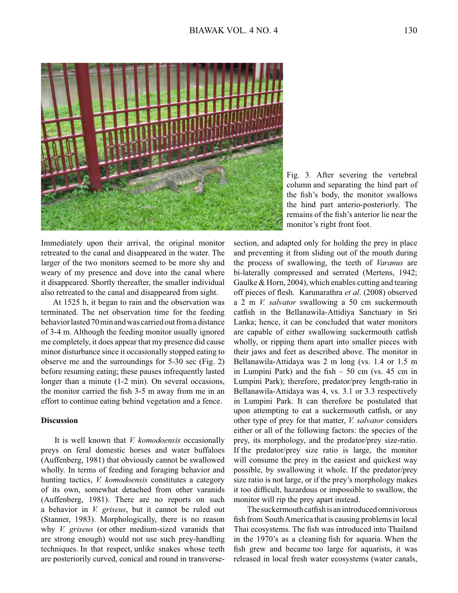

Fig. 3. After severing the vertebral column and separating the hind part of the fish's body, the monitor swallows the hind part anterio-posteriorly. The remains of the fish's anterior lie near the monitor's right front foot.

Immediately upon their arrival, the original monitor retreated to the canal and disappeared in the water. The larger of the two monitors seemed to be more shy and weary of my presence and dove into the canal where it disappeared. Shortly thereafter, the smaller individual also retreated to the canal and disappeared from sight.

 At 1525 h, it began to rain and the observation was terminated. The net observation time for the feeding behavior lasted 70 min and was carried out from a distance of 3-4 m. Although the feeding monitor usually ignored me completely, it does appear that my presence did cause minor disturbance since it occasionally stopped eating to observe me and the surroundings for 5-30 sec (Fig. 2) before resuming eating; these pauses infrequently lasted longer than a minute (1-2 min). On several occasions, the monitor carried the fish 3-5 m away from me in an effort to continue eating behind vegetation and a fence.

## **Discussion**

 It is well known that *V. komodoensis* occasionally preys on feral domestic horses and water buffaloes (Auffenberg, 1981) that obviously cannot be swallowed wholly. In terms of feeding and foraging behavior and hunting tactics, *V. komodoensis* constitutes a category of its own, somewhat detached from other varanids (Auffenberg, 1981). There are no reports on such a behavior in *V. griseus*, but it cannot be ruled out (Stanner, 1983). Morphologically, there is no reason why *V. griseus* (or other medium-sized varanids that are strong enough) would not use such prey-handling techniques. In that respect, unlike snakes whose teeth are posteriorily curved, conical and round in transversesection, and adapted only for holding the prey in place and preventing it from sliding out of the mouth during the process of swallowing, the teeth of *Varanus* are bi-laterally compressed and serrated (Mertens, 1942; Gaulke & Horn, 2004), which enables cutting and tearing off pieces of flesh. Karunarathra *et al*. (2008) observed a 2 m *V. salvator* swallowing a 50 cm suckermouth catfish in the Bellanawila-Attidiya Sanctuary in Sri Lanka; hence, it can be concluded that water monitors are capable of either swallowing suckermouth catfish wholly, or ripping them apart into smaller pieces with their jaws and feet as described above. The monitor in Bellanawila-Attidaya was 2 m long (vs. 1.4 or 1.5 m in Lumpini Park) and the fish  $-50$  cm (vs. 45 cm in Lumpini Park); therefore, predator/prey length-ratio in Bellanawila-Attidaya was 4, vs. 3.1 or 3.3 respectively in Lumpini Park. It can therefore be postulated that upon attempting to eat a suckermouth catfish, or any other type of prey for that matter, *V. salvator* considers either or all of the following factors: the species of the prey, its morphology, and the predator/prey size-ratio. If the predator/prey size ratio is large, the monitor will consume the prey in the easiest and quickest way possible, by swallowing it whole. If the predator/prey size ratio is not large, or if the prey's morphology makes it too difficult, hazardous or impossible to swallow, the monitor will rip the prey apart instead.

 The suckermouth catfish is an introduced omnivorous fish from South America that is causing problems in local Thai ecosystems. The fish was introduced into Thailand in the 1970's as a cleaning fish for aquaria. When the fish grew and became too large for aquarists, it was released in local fresh water ecosystems (water canals,